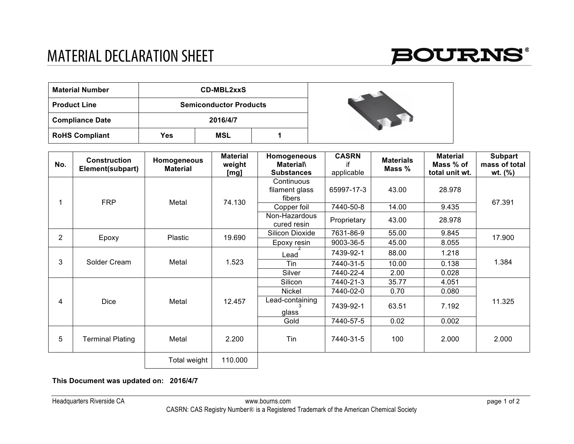## MATERIAL DECLARATION SHEET



| <b>Material Number</b> |     | <b>CD-MBL2xxS</b>             |  |  |
|------------------------|-----|-------------------------------|--|--|
| <b>Product Line</b>    |     | <b>Semiconductor Products</b> |  |  |
| <b>Compliance Date</b> |     | 2016/4/7                      |  |  |
| <b>RoHS Compliant</b>  | Yes | MSL                           |  |  |

| No. | <b>Construction</b><br>Element(subpart) | Homogeneous<br><b>Material</b> | <b>Material</b><br>weight<br>[mg] | Homogeneous<br><b>Material</b><br><b>Substances</b> | <b>CASRN</b><br>if<br>applicable | <b>Materials</b><br>Mass % | <b>Material</b><br>Mass % of<br>total unit wt. | <b>Subpart</b><br>mass of total<br>$wt.$ (%) |
|-----|-----------------------------------------|--------------------------------|-----------------------------------|-----------------------------------------------------|----------------------------------|----------------------------|------------------------------------------------|----------------------------------------------|
|     | <b>FRP</b>                              | Metal                          | 74.130                            | Continuous<br>filament glass<br>fibers              | 65997-17-3                       | 43.00                      | 28.978                                         | 67.391                                       |
|     |                                         |                                |                                   | Copper foil                                         | 7440-50-8                        | 14.00                      | 9.435                                          |                                              |
|     |                                         |                                |                                   | Non-Hazardous<br>cured resin                        | Proprietary                      | 43.00                      | 28.978                                         |                                              |
| 2   | Epoxy                                   | Plastic                        | 19.690                            | Silicon Dioxide                                     | 7631-86-9                        | 55.00                      | 9.845                                          | 17.900                                       |
|     |                                         |                                |                                   | Epoxy resin                                         | 9003-36-5                        | 45.00                      | 8.055                                          |                                              |
| 3   |                                         | Metal                          | 1.523                             | Lead                                                | 7439-92-1                        | 88.00                      | 1.218                                          | 1.384                                        |
|     | Solder Cream                            |                                |                                   | Tin                                                 | 7440-31-5                        | 10.00                      | 0.138                                          |                                              |
|     |                                         |                                |                                   | Silver                                              | 7440-22-4                        | 2.00                       | 0.028                                          |                                              |
| 4   | <b>Dice</b>                             | Metal                          | 12.457                            | Silicon                                             | 7440-21-3                        | 35.77                      | 4.051                                          | 11.325                                       |
|     |                                         |                                |                                   | Nickel                                              | 7440-02-0                        | 0.70                       | 0.080                                          |                                              |
|     |                                         |                                |                                   | Lead-containing<br>glass                            | 7439-92-1                        | 63.51                      | 7.192                                          |                                              |
|     |                                         |                                |                                   | Gold                                                | 7440-57-5                        | 0.02                       | 0.002                                          |                                              |
| 5   | <b>Terminal Plating</b>                 | Metal                          | 2.200                             | Tin                                                 | 7440-31-5                        | 100                        | 2.000                                          | 2.000                                        |
|     |                                         | Total weight                   | 110.000                           |                                                     |                                  |                            |                                                |                                              |

## **This Document was updated on: 2016/4/7**